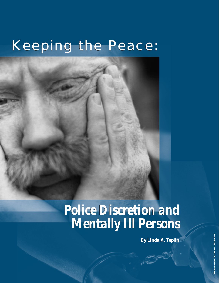# Keeping the Peace:

# *Police Discretion and Mentally Ill Persons*

*By Linda A. Teplin By Linda A. Teplin*<br> *By Linda A. Teplin*<br>
Figure solution<br>
By Linda A. Teplin<br>
By Linda A. Teplin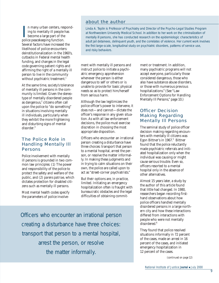In many urban centers, res<br>ing to mentally ill people<br>become a large part of the<br>police peacekeeping function. n many urban centers, responding to mentally ill people has become a large part of the Several factors have increased the likelihood of police encounters: deinstitutionalization in the 1960's, cutbacks in Federal mental health funding, and changes in the legal code governing patient rights and affirming the right of a mentally ill person to live in the community without psychiatric treatment.<sup>1</sup>

At the same time, society's tolerance of mentally ill persons in the community is limited. Given the stereotype of mentally disordered people as dangerous,<sup>2</sup> citizens often call upon the police to "do something" in situations involving mentally ill individuals, particularly when they exhibit the more frightening and disturbing signs of mental disorder. 3

## The Police Role in Handling Mentally Ill **Persons**

Police involvement with mentally ill persons is grounded in two common law principles: (1) The power and responsibility of the police to protect the safety and welfare of the public, and (2) *parens patriae*, which dictates protection for disabled citizens such as mentally ill persons.

Most mental health codes specify the parameters of police involve-

## about the author

Linda A. Teplin is Professor of Psychiatry and Director of the Psycho-Legal Studies Program at Northwestern University Medical School. In addition to her work on the criminalization of mentally ill persons, she has conducted research on the epidemiologic characteristics of adult jail detainees, delinquent youth, and the correlates of violence. Her current work involves the first large-scale, longitudinal study on psychiatric disorders, patterns of service use, and risky behaviors.

ment with mentally ill persons and instruct police to initiate a psychiatric emergency apprehension whenever the person is either dangerous to self or others or is unable to provide for basic physical needs so as to protect him/herself from serious harm.

Although the law legitimizes the police officer's power to intervene, it does not—and cannot—dictate the officer's response in any given situation. As with all law enforcement decisions, the police must exercise discretion in choosing the most appropriate disposition.

Officers who encounter an irrational person creating a disturbance have three choices: transport that person to a mental hospital, arrest the person, or resolve the matter informally. In making these judgments and in trying to calm situations on their own, the police are called upon to act as "street-corner psychiatrists."

But their options are, in practice, limited. Initiating an emergency hospitalization often is fraught with bureaucratic obstacles and the legal difficulties of obtaining commit-

Officers who encounter an irrational person creating a disturbance have three choices: transport that person to a mental hospital, arrest the person, or resolve the matter informally.

ment or treatment. In addition, many psychiatric programs will not accept everyone, particularly those considered dangerous, those who also have substance abuse disorders, or those with numerous previous hospitalizations.<sup>4</sup> (See "Law Enforcement Options for Handling Mentally Ill Persons," page 10.)

## Officer Decision Making Regarding Mentally Ill Persons

The seminal study of police officer decision making regarding encounters with mentally ill citizens was Egon Bittner's in  $1967$ <sup>5</sup> Bittner found that the police reluctantly made psychiatric referrals and initiated hospitalization only when the individual was causing or might cause serious trouble. Even so, officers resorted to a mental hospital only in the absence of other alternatives.

Almost 15 years later, a study by the author of this article found that little had changed. In 1980, researchers began recording firsthand observations about how police officers handled mentally disordered persons in a large northern city and how these interactions differed from interactions with people who were not mentally disordered.<sup>6</sup>

They found that police resolved situations informally in 72 percent of the cases, made an arrest in 16 percent of the cases, and initiated emergency hospitalization in 12 percent of the cases.

*(continued on page 12)*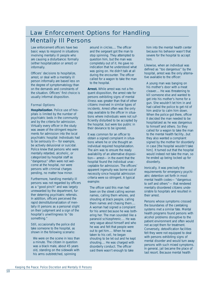# Law Enforcement Options for Handling Mentally Ill Persons

Law enforcement officers have two basic ways to respond in situations involving mentally ill people who are causing a disturbance: formally (either hospitalization or arrest) or informally.

Officers' decisions to hospitalize, arrest, or deal with a mentally ill person informally are based less on the degree of symptomatology than on the demands and constraints of the situation. Officers' first choice is usually informal disposition.

#### Formal Options

**Hospitalization**. Police use of hospitals is limited by the number of psychiatric beds in the community and by the criteria for admission. Virtually every officer in the study was aware of the stringent requirements for admission into the local psychiatric hospital: Individuals had to be seriously ill—for example, be actively delusional or suicidal. Police knew that persons who were mentally retarded, alcoholic, or categorized by hospital staff as "dangerous" often were not welcome at the hospital, nor were persons with criminal charges pending, no matter how minor.

Furthermore, handling mentally ill persons was not regarded by officers as a "good pinch" and was largely unrewarded by the department, further deterring psychiatric referrals. In addition, officers perceived the rapid deinstitutionalization of mentally ill persons as a personal slight on their judgment and a sign of the hospital's unwillingness to "do something."

Still, occasionally the police did take someone to the hospital, as shown in the following scenario:

We were on the scene in less than a minute. The citizen in question was a black male, about 45 years old, standing on the sidewalk with his arms outstretched, spinning

around in circles.... The officer and the sergeant got the man to stop spinning. They attempted to question him, but the man was completely out of it. He gave no indication that he understood what was going on. He didn't talk at all during the encounter. The officer called for a wagon to take the man to the hospital.

**Arrest.** While arrest was not a frequent disposition, the arrest rate for persons exhibiting signs of mental illness was greater than that of other citizens involved in similar types of incidents. Arrest often was the only step available to the officer in situations where individuals were not sufficiently disturbed to be accepted by the hospital, but were too public in their deviance to be ignored.

It was common for an officer to obtain a signed complaint in situations where he or she thought an individual required hospitalization. The aim was to ensure the ready availability of an alternative disposition—arrest—in the event that the hospital found the individual unacceptable for admission. The officers' apparent ingenuity was borne out of necessity since hospital admission criteria were so stringent. A typical example:

The officer said this man had been on the street calling women names, calling them whores, and shouting at black people, calling them names and chasing them.... A woman had signed a complaint for his arrest because he was bothering her. The man sounded like a paranoid schizophrenic.... He was very vague about himself and who he was and felt that people were out to get him.... When he was taken to his cell, he began shouting to be let out and he kept shouting.... He was charged with disorderly conduct. The officer said there wasn't enough to take

him into the mental health center because his behavior wasn't that severe for the hospital to accept him.

Likewise, when an individual was defined as "too dangerous" by the hospital, arrest was the only alternative available to the officer:

A young man was banging on his mother's door with a meat cleaver.... He was threatening to kill someone else and wanted to get into his mother's home for a gun. She wouldn't let him in and had called the police to get rid of him and/or to calm him down. When the police got there, officer II decided the man needed to be hospitalized as he was dangerous to himself and others. So they called for a wagon to take the man to the mental health facility...but they also wanted a complaint signed by the mother for disorderly in case [the hospital wouldn't take him]. It turned out that the hospital would indeed not take the man, so he ended up being locked up for disorderly.

Ironically, it was precisely the requirements for emergency psychiatric detention set forth in most mental health codes—"dangerous to self and others"—that rendered mentally disordered citizens undesirable to hospitals and resulted in their arrest.

Persons whose symptoms crossed the boundaries of the caretaking systems met a similar fate. Mental health programs found persons with alcohol problems disruptive to the patient environment and often would not accept them for treatment. Conversely, detoxification facilities felt they were not equipped to deal with persons exhibiting signs of mental disorder and would turn away persons with such mixed symptoms. In general, jail became the place of last resort. Because mental health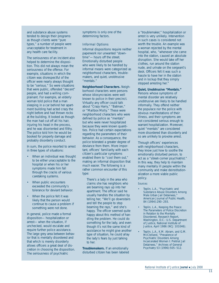and substance abuse systems tended to design their programs as though clients were "pure types," a number of people were unacceptable for treatment in any health care facility.

The seriousness of an incident also helped to determine the disposition. This did not always mean the seriousness of the offense. For example, situations in which the citizen was disrespectful of the officer were nearly always thought to be "serious." So were situations that were public, offended "decent" people, and had a willing complainant. For example, an elderly woman told police that a man sleeping in a car behind her apartment building had acted crazy the night before and had thrown rocks at the building. It looked as though the man had cut off all his hair, injuring his head in the process, and he was disoriented and filthy. The police told him he would be booked for property damage and probably disorderly conduct.

In sum, the police resorted to arrest in three types of situations:

- When an individual was thought to be either unacceptable to the hospital or when his or her symptoms made him fall through the cracks of various caretaking systems.
- When public encounters exceeded the community's tolerance for deviant behavior.
- When the police felt it was likely that the person would continue to cause a problem if something were not done.

In general, police made a formal disposition—hospitalization or arrest—when the situation, if unchecked, would escalate and require further police assistance. The large grey area between behavior that is mentally disordered and that which is merely disorderly allows officers a great deal of discretion in choosing the disposition. The seriousness of psychiatric

symptoms is only one of the determining factors.

#### Informal Options

Informal dispositions require neither paperwork nor unwanted "downtime"—hours off the street. Emotionally disturbed people who were likely to be handled by informal means were categorized as neighborhood characters, troublemakers, and quiet, unobtrusive "mentals."

**Neighborhood Characters.** Neighborhood characters were persons whose idiosyncrasies were well known to police in their precinct. Virtually any officer could talk about "Crazy Harry," "Batman," or "Mailbox Molly." These were neighborhood characters who were defined by police as "mentals" but who were never hospitalized because they were known quantities. Police had certain expectations regarding the parameters of their behavior. As a consequence, the police tolerated a greater degree of deviance from them. More important, officers' familiarity with each citizen's particular symptoms enabled them to "cool them out," making an informal disposition that much easier. The following is a rather common encounter of this type:

There's a lady in the area who claims she has neighbors who are beaming rays up into her apartment. The officer said he usually handles the situation by telling her, "We'll go downstairs and tell the people to stop beaming the rays," and she's happy. The officer seemed quite happy about this method of handling the problem. He could do something for the lady, and even though it's not the same kind of assistance he might give another type of situation, he could allay the lady's fears by just talking to her.

**Troublemakers.** If an emotionally disturbed citizen has been labeled a "troublemaker," hospitalization or arrest is very unlikely. Intervention in such cases is considered not worth the trouble. An example was a woman rejected by the mental hospital, who, "whenever she came into the station, caused an absolute disruption. She would take off her clothes, run around the station nude, and urinate on the sergeant's desk. Officers felt it was such a hassle to have her in the station and in lockup that they simply stopped arresting her."

**Quiet, Unobtrusive "Mentals."**

Persons whose symptoms of mental disorder are relatively unobtrusive are likely to be handled informally. They offend neither the populace nor the police with obvious manifestations of their illness, and their symptoms are not considered serious enough to warrant hospitalization. Moreover, quiet "mentals" are considered more disordered than disorderly and so are unlikely to provoke arrest.

Through officers' experiences with neighborhood characters, they know just how to soothe the emotionally disturbed person, to act as a "street-corner psychiatrist." In this way, they help to maintain many mentally ill people within the community and make deinstitutionalization a more viable public policy.

Sources:

- Teplin, L.A., "Psychiatric and Substance Abuse Disorders Among Male Urban Jail Detainees," *American Journal of Public Health*, 84 (1994):290–293.
- Teplin, L.A., *Keeping the Peace: The Parameters of Police Discretion in Relation to the Mentally Disordered*, Research Report, Washington, D.C.: U.S. Department of Justice, National Institute of Justice, April 1986 (NCJ 101046).
- Teplin, L.A., K.M. Abram, and G.M. McClelland, "Prevalence of Psychiatric Disorders Among Incarcerated Women I: Pretrial Jail Detainees," *Archives of General Psychiatry* 53 (1996):505–512.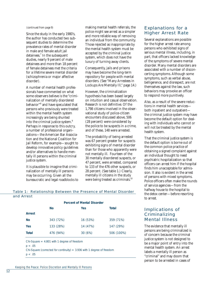#### *(continued from page 9)*

Since the study in the early 1980's, the author has conducted two subsequent studies to determine the prevalence rates of mental disorder in male and female adult jail detainees.<sup>7</sup> In the subsequent studies, nearly 9 percent of male detainees and more than 18 percent of female detainees met the criteria for a lifetime severe mental disorder (schizophrenia or major affective disorder).

A number of mental health professionals have commented on what some observers believe is the "criminalization of mentally disordered behavior"8 and have speculated that persons who previously were treated within the mental health system increasingly are being shunted into the criminal justice system.<sup>9</sup> Perhaps in response to this outcry, a number of professional organizations—the American Bar Association and the National Coalition for Jail Reform, for example—sought to develop innovative policy guidelines and/or alternatives to handle mentally ill persons within the criminal justice system.

It is plausible to imagine that criminalization of mentally ill persons may be occurring. Given all the bureaucratic and legal roadblocks to

making mental health referrals, the police might see arrest as a simpler and more reliable way of removing an individual from the community. Those rejected as inappropriate by the mental health system must be accepted by the criminal justice system, which does not have the luxury of turning away clients.

Consequently, jails and prisons may have become the long-term repository for people with mental disorders. (See "Many Arrestees in Lockups Are Mentally Ill," page 14.)

However, the criminalization hypothesis has been based largely on intuition and casual observation. Research is not definitive. Of the 1,798 citizens involved in the observational study of police-citizen encounters discussed above, 506 (28 percent) were considered by the police to be suspects in a crime, and of these, 148 were arrested.

The probability of being arrested was 67 percent greater for suspects exhibiting signs of mental disorder than for those who apparently were not mentally ill. Fourteen of the 30 mentally disordered suspects, or 47 percent, were arrested, compared to 133 of the 476 other suspects, or 28 percent. (See table 1.) Clearly, mentally ill citizens in the study were being treated as criminals.<sup>10</sup>

## Explanations for a Higher Arrest Rate

Several explanations are possible for the higher arrest rate among persons who exhibited signs of serious mental illness, including, in part, that officers lacked knowledge of the symptoms of severe mental disorder. Many mental disorders are associated with a number of disconcerting symptoms. Although some symptoms, such as verbal abuse, belligerence, and disrespect, are not themselves against the law, such behaviors may provoke an officer to respond more punitively.

Also, as a result of the severe reductions in mental health services both inpatient and outpatient the criminal justice system may have become the default option for dealing with individuals who cannot or will not be treated by the mental health system.

That the criminal justice system is the default option is borne out of the common police practice of obtaining a signed complaint against an individual thought to need psychiatric hospitalization so that officers can arrest him if the hospital finds him unacceptable for admission. It also is evident in the arrest of persons with mixed symptoms. Police officers often make the rounds of service agencies—from the halfway house to the hospital to the detox center—before resorting to arrest.

## Implications of Criminalizing Mental Illness

The evidence that mentally ill persons are being criminalized is of concern because the criminal justice system is not designed to be a major point of entry into the mental health system. An arrest labels a mentally ill person as "criminal" and may doom that person to be arrested in cases of

#### Table 1: Relationship Between the Presence of Mental Disorder and Arrest

|               | <b>Percent of Mental Disorder</b> |          |              |  |
|---------------|-----------------------------------|----------|--------------|--|
|               | <b>No</b>                         | Yes      | <b>Total</b> |  |
| <b>Arrest</b> |                                   |          |              |  |
| <b>No</b>     | 343 (72%)                         | 16 (53%) | 359 (71%)    |  |
| Yes           | 133 (28%)                         | 14 (47%) | 147 (29%)    |  |
| <b>Total</b>  | 476 (94%)                         | 30(6%)   | 506 (100%)   |  |

Chi-Square = 4.801 with 1 degree of freedom

 $p < .05$ 

Chi-Square (corrected for continuity) =  $3.936$  with 1 degree of freedom  $p < .05$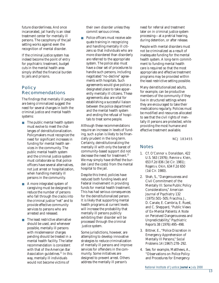future disorderliness. And once incarcerated, jail hardly is an ideal treatment center for mentally ill persons. The cacophony of the jail setting works against even the recognition of mental disorder.

If the criminal justice system has indeed become the point of entry for psychiatric treatment, budget cuts in the mental health area simply shifted the financial burden to jails and prisons.

## **Policy** Recommendations

The findings that mentally ill people are being criminalized suggest the need for several changes in both the criminal justice and mental health systems:

- The public mental health system must evolve to meet the challenges of deinstitutionalization. Policymakers must recognize the need for significant increases in funding for mental health services in the community. The public mental health system and the criminal justice system must collaborate so that police officers have several alternatives, not just arrest or hospitalization, when handling mentally ill persons in the community.
- A more integrated system of caregiving must be designed to reduce the number of persons who fall through the cracks into the criminal justice "net" and to provide effective community services to persons who are arrested and released.
- The least restrictive alternative should be used, and whenever possible, mentally ill persons with misdemeanor charges pending should be treated in a mental health facility. The latter recommendation is consistent with that of the American Bar Association guidelines.<sup>11</sup> In this way, mentally ill individuals would not become victims of

their own disorder unless they commit serious crimes.

■ Police officers must receive adequate training in recognizing and handling mentally ill citizens so that individuals who are more disordered than disorderly are referred to the appropriate system. The police also must have a clear set of procedures to handle such persons, including negotiated "no-decline" agreements with hospitals. Such agreements would give police a designated place to take apparently mentally ill citizens. These agreements also are vital for establishing a successful liaison between the police department and the mental health system and ending the refusal of hospitals to treat some people.

Although these recommendations require an increase in levels of funding, such a plan is likely to be financially prudent in the long term. Certainly, deinstitutionalizing the mentally ill with only the barest of community-based support did not decrease the need for treatment.<sup>12</sup> We may simply have shifted the burden (and the costs) from the mental hospital to the jail.

Despite this trend, policies have reduced both funding levels and Federal involvement in providing funds for mental health treatment. This has had serious consequences for the deinstitutionalized person. It is likely that supporting mental health programs at current levels will increase the probability that mentally ill persons publicly exhibiting their disorder will be processed through the criminal justice system.

Some jurisdictions, however, are attempting to develop innovative strategies to reduce criminalization of mentally ill persons and improve services for offenders in the community. Some initiatives are designed to prevent arrest. Others address the mentally ill person's

need for referral and treatment later on in criminal justice system processing—at a pretrial hearing, during detention, or after release.

People with mental disorders must not be criminalized as a result of inadequate funding for the mental health system. A long-term commitment to funding mental health care is required so that the most appropriate and effective treatment programs may be provided within the least restrictive setting possible.

Many deinstitutionalized adults, for example, can be productive members of the community if they live in structured settings where they are encouraged to take their medications regularly. Policies must be modified and resources allocated to see that the civil rights of mentally ill persons are protected, while providing the most humane and effective treatment available.

#### NCJ 183455

### **Notes**

- 1. Cf. *O'Connor v. Donaldson*, 422 U.S. 563 (1976); *Rennie v. Klein*, 653 F.2d 836 (3d Cir. 1981); *Rogers v. Okin*, 634 F.2d 650 (1st Cir. 1980).
- 2. Shah, S., "Dangerousness and Civil Commitment of the Mentally Ill: Some Public Policy Considerations," *American Journal of Psychiatry* 132 (1975):501–505; Fracchia, J., D. Canale, E. Cambria, E. Ruest, and C. Sheppard, "Public Views of Ex-Mental Patients: A Note on Perceived Dangerousness and Unpredictability," *Psychiatric Reports* 38 (1976):495–498.
- 3. Bittner, E., "Police Discretion in Emergency Apprehension of Mentally Ill Persons," *Social Problems* 14 (1967):278–292.
- 4. See, for example, Matthews, A., "Observations on Police Policy and Procedures for Emergency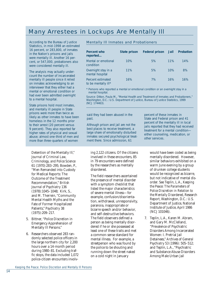## Many Arrestees in Lockups Are Mentally Ill

According to the Bureau of Justice Statistics, in mid-1998 an estimated 16 percent, or 283,800, of inmates in the Nation's prisons and jails were mentally ill. Another 16 percent, or 547,000, probationers also were considered mentally ill.

The analysis may actually undercount the number of incarcerated mentally ill people since it relied on inmates acknowledging to an interviewer that they either had a mental or emotional condition or had ever been admitted overnight to a mental hospital.

State prisons hold most inmates, and mentally ill people in State prisons were more than twice as likely as other inmates to have been homeless in the 12 months prior to their arrest (20 percent versus 9 percent). They also reported far higher rates of physical and sexual abuse; almost one-third of men and more than three-quarters of women

Detention of the Mentally Ill," *Journal of Criminal Law, Criminology, and Police Science* 61 (1970):283–295; Bowden, P., "Men Remanded into Custody for Medical Reports: The Outcome of the Treatment Recommendation," *British Journal of Psychiatry* 136 (1978):1045–1048; Kirk, S., and M. Therrein, "Community Mental Health Myths and the Fate of Former Hospitalized Patients," *Psychiatry* 38 (1975):209–217.

- 5. Bittner, "Police Discretion in Emergency Apprehension of Mentally Ill Persons."
- 6. Researchers observed 283 randomly selected police officers in the large northern city for 2,200 hours over a 14-month period during 1980–81. Excluding traffic stops, the data included 1,072 police-citizen encounters involv-

#### Mentally Ill Inmates and Probationers

| Percent who<br>reported                              | <b>State prison</b> | <b>Federal prison</b> | <b>Jail</b> | <b>Probation</b> |
|------------------------------------------------------|---------------------|-----------------------|-------------|------------------|
| Mental or emotional<br>condition                     | 10%                 | 5%                    | 11%         | 14%              |
| Overnight stay in a<br>mental hospital               | 11%                 | 5%                    | 10%         | 8%               |
| Percent estimated<br>to be mentally ill <sup>*</sup> | 16%                 | 7%                    | 16%         | 16%              |

\* Persons who reported a mental or emotional condition or an overnight stay in a mental hospital.

Source: Ditton, Paula M., "Mental Health and Treatment of Inmates and Probationers," Washington, D.C.: U.S. Department of Justice, Bureau of Justice Statistics, 1999 (NCJ 174463).

said they had been abused in the past.

Although prison and jail are not the best places to receive treatment, a large share of emotionally disturbed inmates secured psychological treatment there. Since admission, 61

ing 2,122 citizens. Of the citizens involved in these encounters, 85 in 79 encounters were defined by the researchers as mentally disordered.

The field researchers ascertained the presence of mental disorder with a symptom checklist that listed the major characteristics of severe mental illness—for example, confusion/disorientation, withdrawal, unresponsivity, paranoia, inappropriate or bizarre speech and/or behavior, and self-destructive behaviors. The field observers defined a person as being mentally disordered if he or she possessed at least one of these traits and met a common-sense standard for mental illness. For example, a streetperson who was found by the police to be shouting and running down the street naked on a cold night in January

percent of these inmates in State and Federal prison and 41 percent of the mentally ill in local jails reported that they had received treatment for a mental condition either counseling, medication, or other services.

> would have been coded as being mentally disordered. However, similar behaviors exhibited on a warm June evening by a group of drunken college students would be recognized as bizarre, but not indicative of mental disorder. See Teplin, L.A., *Keeping the Peace: The Parameters of Police Discretion in Relation to the Mentally Disordered*, Research Report, Washington, D.C.: U.S. Department of Justice, National Institute of Justice, April 1986 (NCJ 101046).

7. Teplin, L.A., Karen M. Abram, and Gary M. McClelland, "Prevalence of Psychiatric Disorders Among Incarcerated Women: I. Pretrial Jail Detainees," *Archives of General Psychiatry* 53 (1996): 505–512; and Teplin, L.A., "Psychiatric and Substance Abuse Disorders Among Male Urban Jail